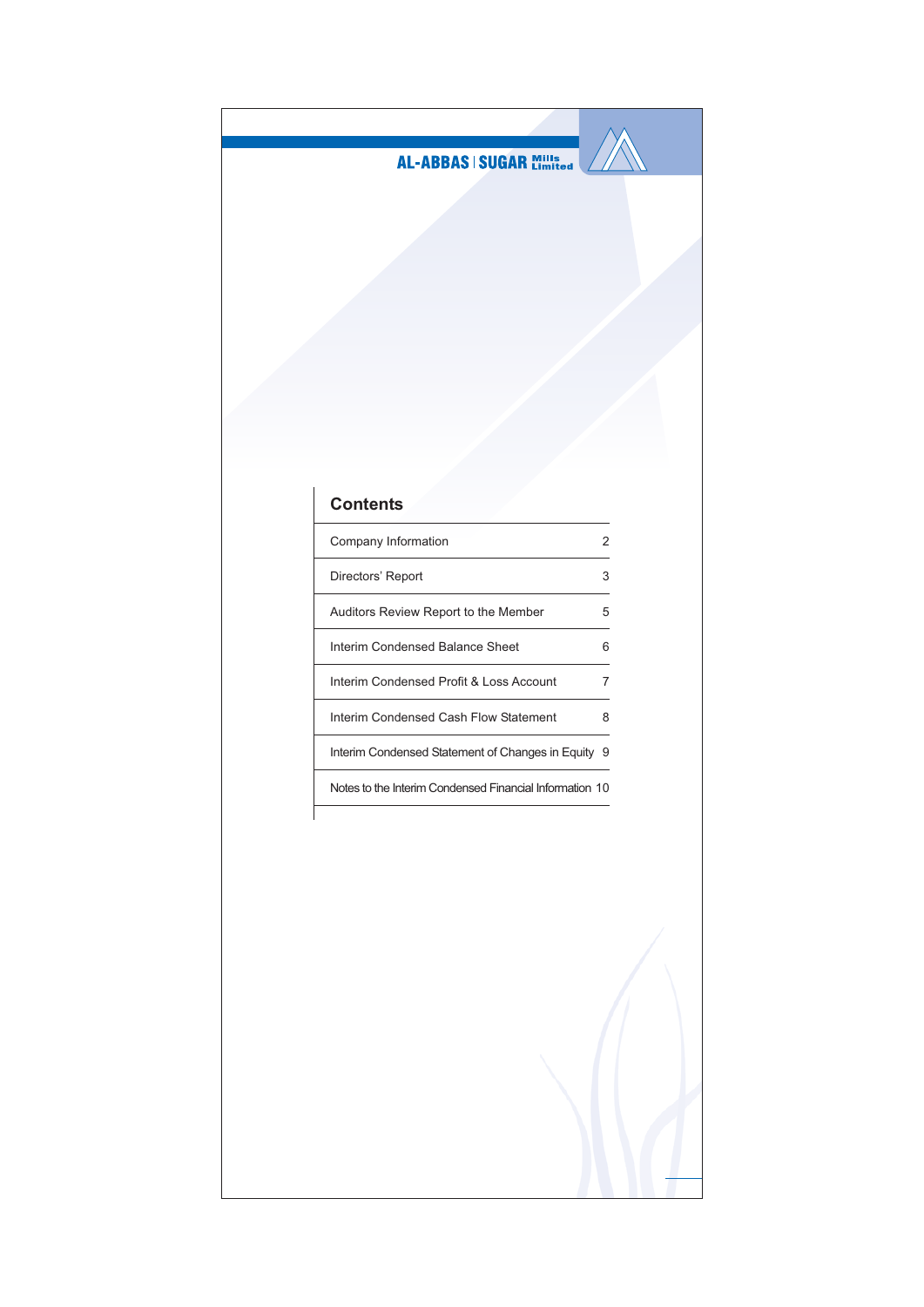

## **Contents**

| Company Information                                     |   |
|---------------------------------------------------------|---|
| Directors' Report                                       | 3 |
| Auditors Review Report to the Member                    | 5 |
| Interim Condensed Balance Sheet                         | 6 |
| Interim Condensed Profit & Loss Account                 |   |
| Interim Condensed Cash Flow Statement                   | 8 |
| Interim Condensed Statement of Changes in Equity        | 9 |
| Notes to the Interim Condensed Financial Information 10 |   |
|                                                         |   |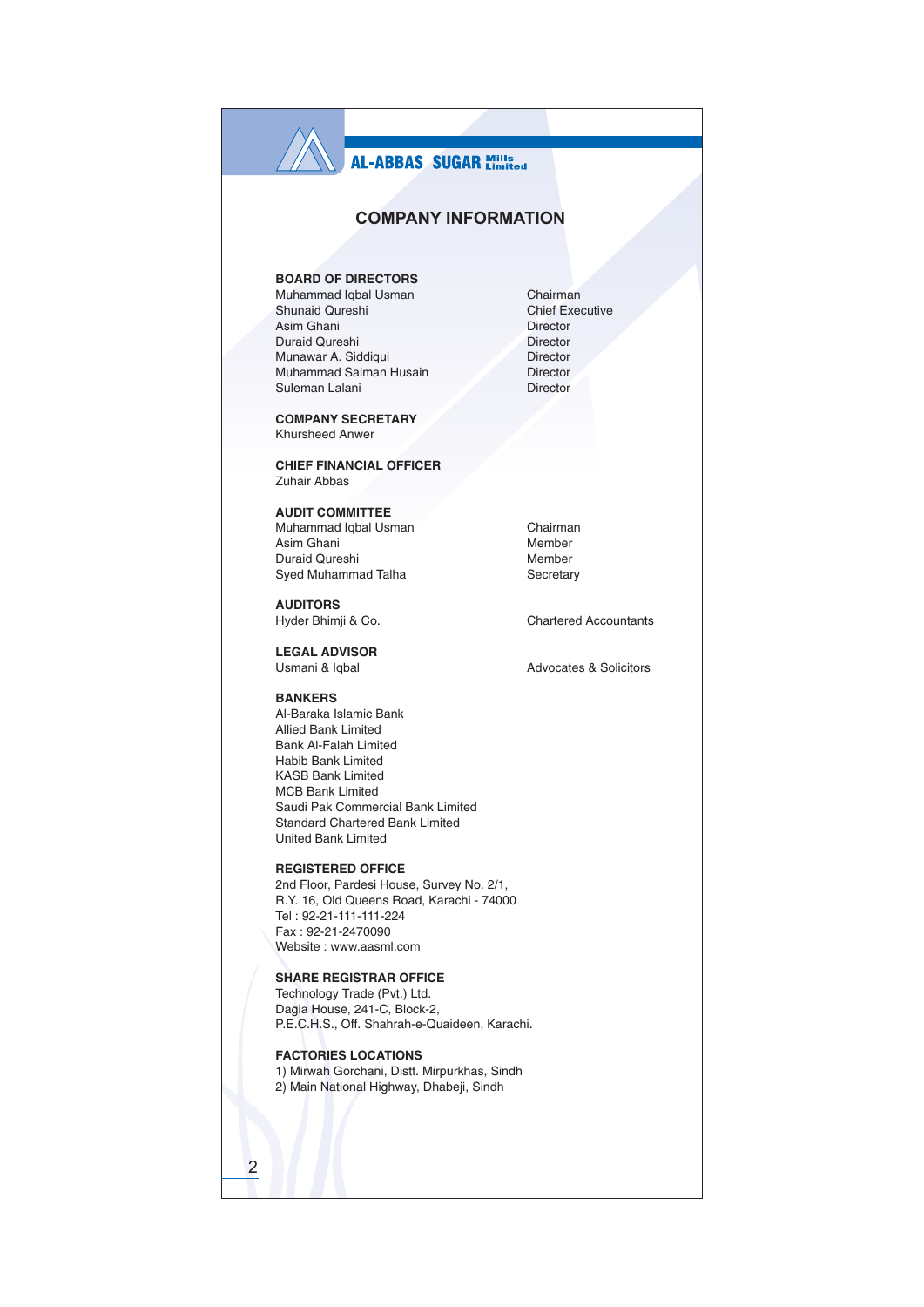### **COMPANY INFORMATION**

### **BOARD OF DIRECTORS**

Muhammad Iqbal Usman Shunaid Qureshi Asim Ghani Duraid Qureshi Munawar A. Siddiqui Muhammad Salman Husain Suleman Lalani

**COMPANY SECRETARY Khursheed Anwer** 

**CHIEF FINANCIAL OFFICER** Zuhair Abbas

### **AUDIT COMMITTEE**

Muhammad Iqbal Usman Asim Ghani Duraid Qureshi Syed Muhammad Talha

**AUDITORS** Hyder Bhimji & Co.

**LEGAL ADVISOR** Usmani & Igbal

#### **BANKERS**

Al-Baraka Islamic Bank Allied Bank Limited Bank Al-Falah Limited Habib Bank I imited **KASB Bank Limited MCB Bank Limited** Saudi Pak Commercial Bank Limited Standard Chartered Bank Limited **United Bank Limited** 

### **REGISTERED OFFICE**

2nd Floor, Pardesi House, Survey No. 2/1, R.Y. 16, Old Queens Road, Karachi - 74000 Tel: 92-21-111-111-224 Fax: 92-21-2470090 Website: www.aasml.com

### **SHARE REGISTRAR OFFICE**

Technology Trade (Pvt.) Ltd. Dagia House, 241-C, Block-2, P.E.C.H.S., Off. Shahrah-e-Quaideen, Karachi.

### **FACTORIES LOCATIONS**

 $\overline{2}$ 

1) Mirwah Gorchani, Distt. Mirpurkhas, Sindh 2) Main National Highway, Dhabeji, Sindh

Chairman **Chief Executive** Director Director Director Director Director

Chairman Member Member Secretary

**Chartered Accountants** 

Advocates & Solicitors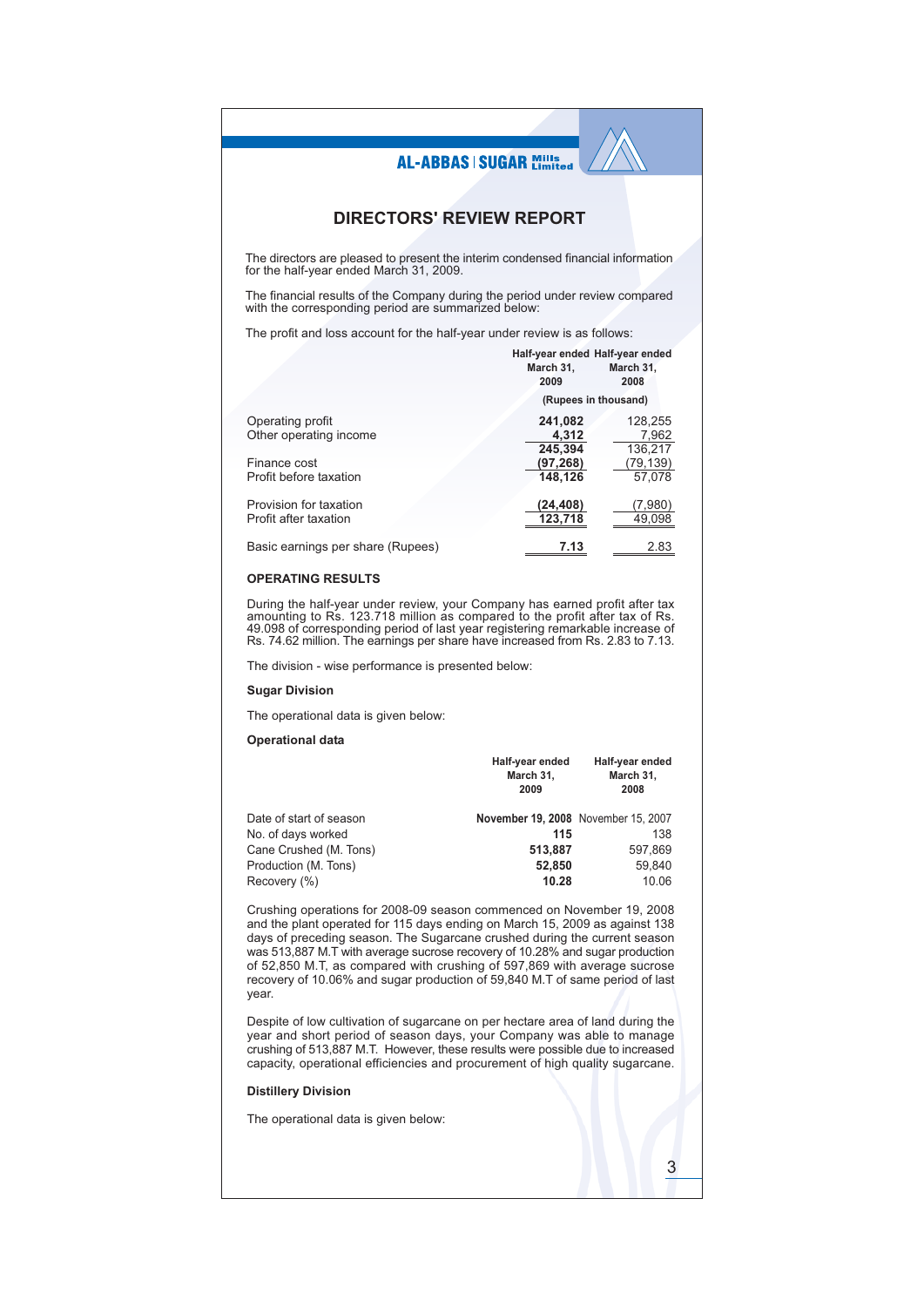### **DIRECTORS' REVIEW REPORT**

The directors are pleased to present the interim condensed financial information<br>for the half-year ended March 31, 2009.

The financial results of the Company during the period under review compared with the corresponding period are summarized below:

The profit and loss account for the half-year under review is as follows:

|                                   | Half-year ended Half-year ended |           |
|-----------------------------------|---------------------------------|-----------|
|                                   | March 31,                       | March 31, |
|                                   | 2009                            | 2008      |
|                                   | (Rupees in thousand)            |           |
| Operating profit                  | 241,082                         | 128.255   |
| Other operating income            | 4.312                           | 7.962     |
|                                   | 245.394                         | 136,217   |
| Finance cost                      | (97, 268)                       | (79,139)  |
| Profit before taxation            | 148.126                         | 57,078    |
| Provision for taxation            | (24,408)                        | (7,980)   |
| Profit after taxation             | 123,718                         | 49,098    |
| Basic earnings per share (Rupees) | 7.13                            | 2.83      |

#### **OPERATING RESULTS**

During the half-year under review, your Company has earned profit after tax<br>amounting to Rs. 123.718 million as compared to the profit after tax of Rs.<br>49.098 of corresponding period of last year registering remarkable inc Rs. 74.62 million. The earnings per share have increased from Rs. 2.83 to 7.13.

The division - wise performance is presented below:

#### **Sugar Division**

The operational data is given below:

#### **Operational data**

|                         | Half-year ended<br>March 31,<br>2009 | Half-year ended<br>March 31,<br>2008 |
|-------------------------|--------------------------------------|--------------------------------------|
| Date of start of season | November 19, 2008 November 15, 2007  |                                      |
| No. of days worked      | 115                                  | 138                                  |
| Cane Crushed (M. Tons)  | 513.887                              | 597,869                              |
| Production (M. Tons)    | 52,850                               | 59.840                               |
| Recovery (%)            | 10.28                                | 10.06                                |

Crushing operations for 2008-09 season commenced on November 19, 2008 and the plant operated for 115 days ending on March 15, 2009 as against 138 days of preceding season. The Sugarcane crushed during the current season was 513,887 M.T with average sucrose recovery of 10.28% and sugar production<br>of 52,850 M.T, as compared with crushing of 597,869 with average sucrose recovery of 10.06% and sugar production of 59,840 M.T of same period of last year.

Despite of low cultivation of sugarcane on per hectare area of land during the year and short period of season days, your Company was able to manage crushing of 513,887 M.T. However, these results were possible due to increased capacity, operational efficiencies and procurement of high quality sugarcane.

3

### **Distillery Division**

The operational data is given below: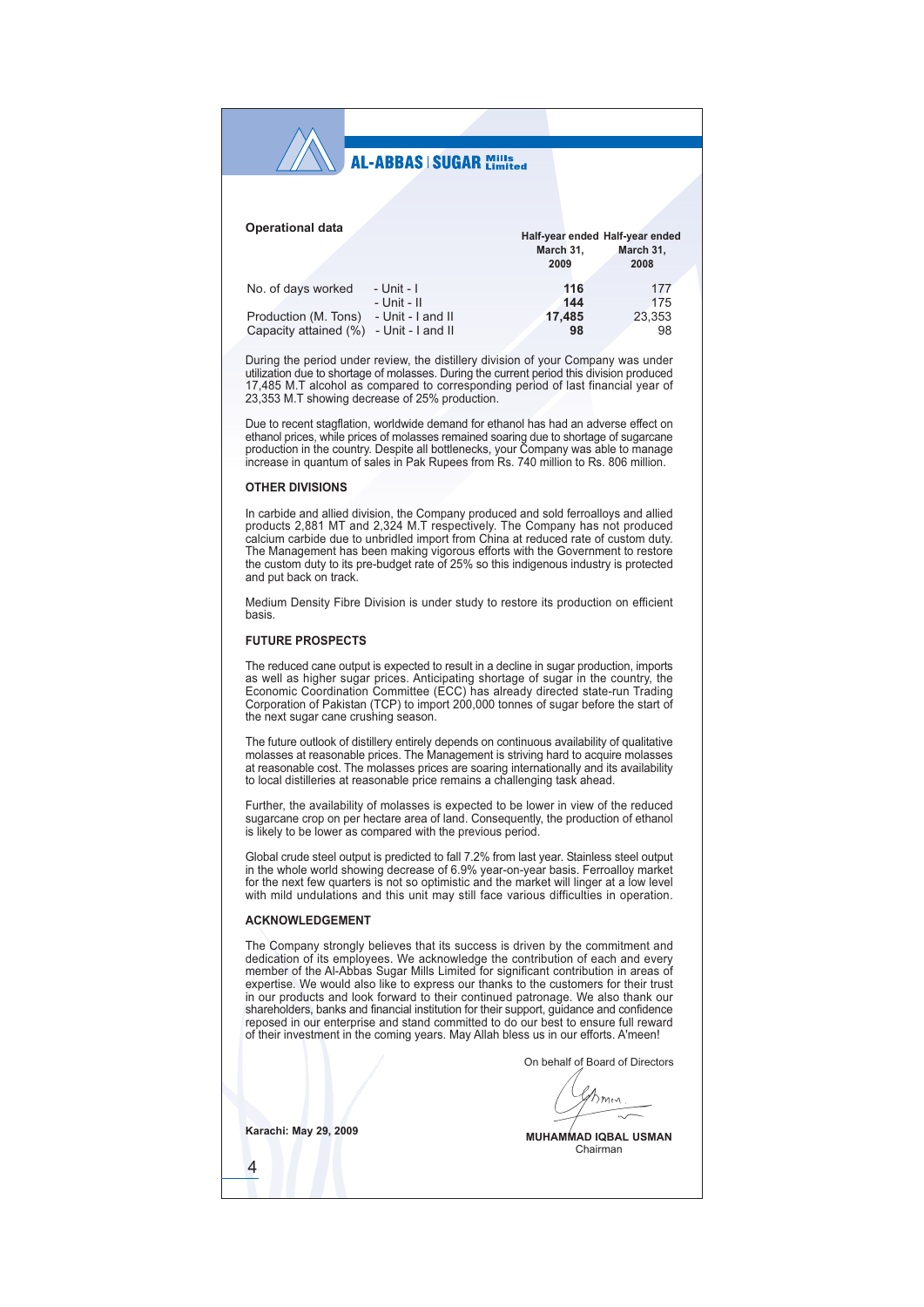| <b>Operational data</b>                                             |                                                                         | March 31,<br>2009          | Half-year ended Half-year ended<br>March 31,<br>2008 |
|---------------------------------------------------------------------|-------------------------------------------------------------------------|----------------------------|------------------------------------------------------|
| No. of days worked<br>Production (M. Tons)<br>Capacity attained (%) | - Unit - I<br>$-$ Unit $-$ II<br>- Unit - I and II<br>- Unit - I and II | 116<br>144<br>17.485<br>98 | 177<br>175<br>23,353<br>98                           |

During the period under review, the distillery division of your Company was under utilization due to shortage of molasses. During the current period this division produced 17,485 M.T alcohol as compared to corresponding period of last financial year of 23.353 M.T showing decrease of 25% production.

Due to recent stagflation, worldwide demand for ethanol has had an adverse effect on Due to recent sugnatury, working of molasses remained soaring due to tal and any experience of molasses remained soaring due to tal and age of supercane production in the country. Despite all bottlenecks, your Company was

#### **OTHER DIVISIONS**

In carbide and allied division, the Company produced and sold ferroalloys and allied products 2,881 MT and 2,324 M.T respectively. The Company has not produced calcium carbide due to unbridled import from China at reduced rate of custom duty. The Management has been making vigorous efforts with the Government to restore<br>the custom duty to its pre-budget rate of 25% so this indigenous industry is protected and nut hack on track

Medium Density Fibre Division is under study to restore its production on efficient hasis

#### **FUTURE PROSPECTS**

The reduced cane output is expected to result in a decline in sugar production, imports as well as higher sugar prices. Anticipating shortage of sugar in the country, the Economic Coordination Committee (ECC) has already directed state-run Trading Corporation of Pakistan (TCP) to import 200,000 tonnes of sugar before the start of the next sugar cane crushing season.

The future outlook of distillery entirely depends on continuous availability of qualitative molasses at reasonable prices. The Management is striving hard to acquire molasses at reasonable cost. The molasses prices are soa to local distilleries at reasonable price remains a challenging task ahead.

Further, the availability of molasses is expected to be lower in view of the reduced sugarcane crop on per hectare area of land. Consequently, the production of ethanol is likely to be lower as compared with the previous period.

Global crude steel output is predicted to fall 7.2% from last year. Stainless steel output in the whole world showing decrease of 6.9% year-on-year basis. Ferroalloy market for the next few quarters is not so optimistic and the market will linger at a low level with mild undulations and this unit may still face various difficulties in operation.

#### **ACKNOWLEDGEMENT**

The Company strongly believes that its success is driven by the commitment and dedication of its employees. We acknowledge the contribution of each and every member of the Al-Abbas Sugar Mills Limited for significant contribution in areas of expertise. We would also like to express our thanks to the customers for their trust in our products and look forward to their continued patronage. We also thank our shareholders, banks and financial institution for their support, guidance and confidence reposed in our enterprise and stand committed to do our best to ensure full reward of their investment in the coming years. May Allah bless us in our efforts. A'meen!

On behalf of Board of Directors

Bmm

**Karachi: May 29, 2009** 

 $\overline{4}$ 

**MUHAMMAD IQBAL USMAN** Chairman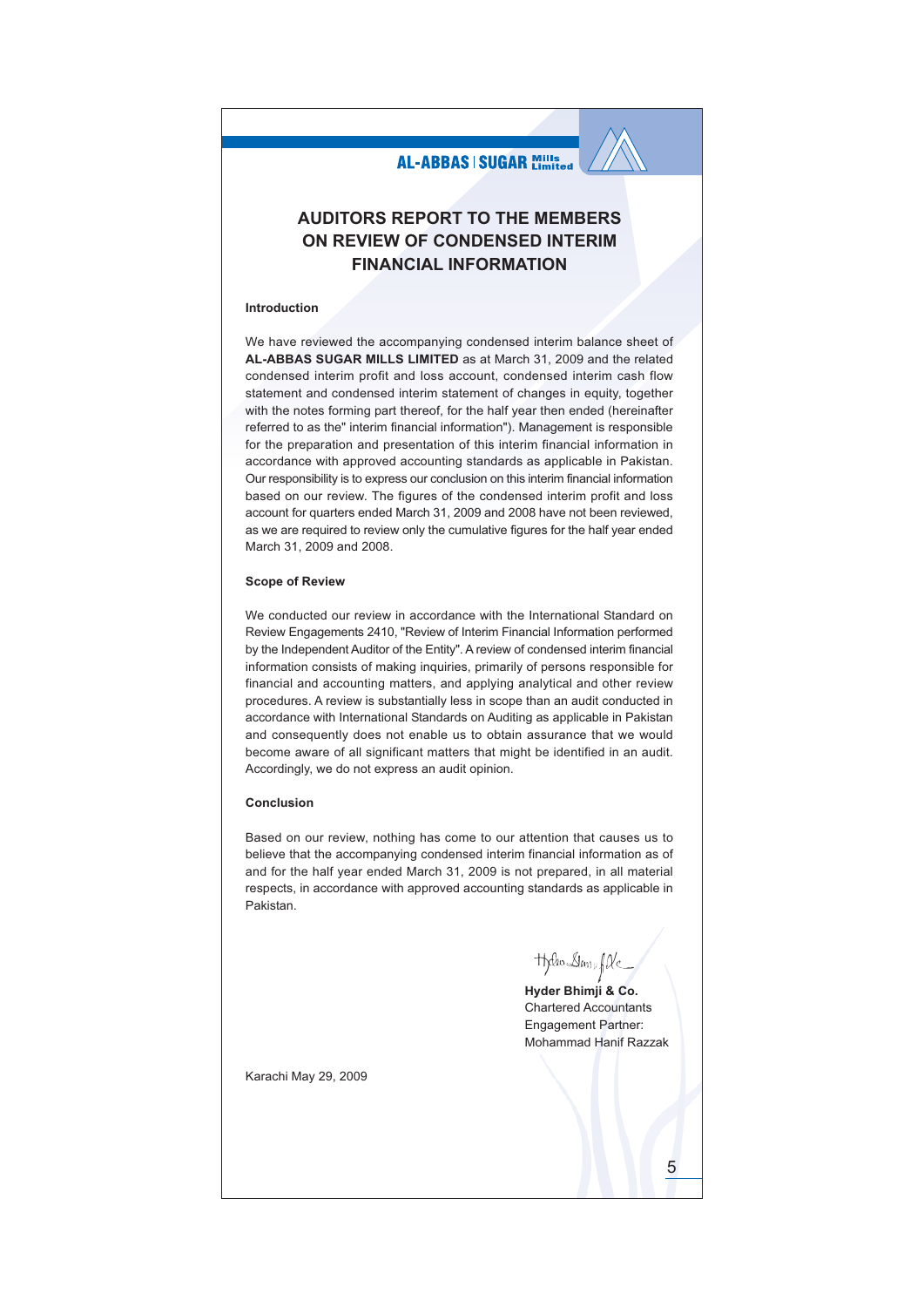### **AUDITORS REPORT TO THE MEMBERS** ON REVIEW OF CONDENSED INTERIM **FINANCIAL INFORMATION**

#### Introduction

We have reviewed the accompanying condensed interim balance sheet of AL-ABBAS SUGAR MILLS LIMITED as at March 31, 2009 and the related condensed interim profit and loss account, condensed interim cash flow statement and condensed interim statement of changes in equity, together with the notes forming part thereof, for the half year then ended (hereinafter referred to as the" interim financial information"). Management is responsible for the preparation and presentation of this interim financial information in accordance with approved accounting standards as applicable in Pakistan. Our responsibility is to express our conclusion on this interim financial information based on our review. The figures of the condensed interim profit and loss account for quarters ended March 31, 2009 and 2008 have not been reviewed, as we are required to review only the cumulative figures for the half year ended March 31, 2009 and 2008.

#### **Scope of Review**

We conducted our review in accordance with the International Standard on Review Engagements 2410, "Review of Interim Financial Information performed by the Independent Auditor of the Entity". A review of condensed interim financial information consists of making inquiries, primarily of persons responsible for financial and accounting matters, and applying analytical and other review procedures. A review is substantially less in scope than an audit conducted in accordance with International Standards on Auditing as applicable in Pakistan and consequently does not enable us to obtain assurance that we would become aware of all significant matters that might be identified in an audit. Accordingly, we do not express an audit opinion.

#### Conclusion

Based on our review, nothing has come to our attention that causes us to believe that the accompanying condensed interim financial information as of and for the half year ended March 31, 2009 is not prepared, in all material respects, in accordance with approved accounting standards as applicable in Pakistan.

**Theo** Day fle

Hyder Bhimji & Co. Chartered Accountants Engagement Partner: Mohammad Hanif Razzak

Karachi May 29, 2009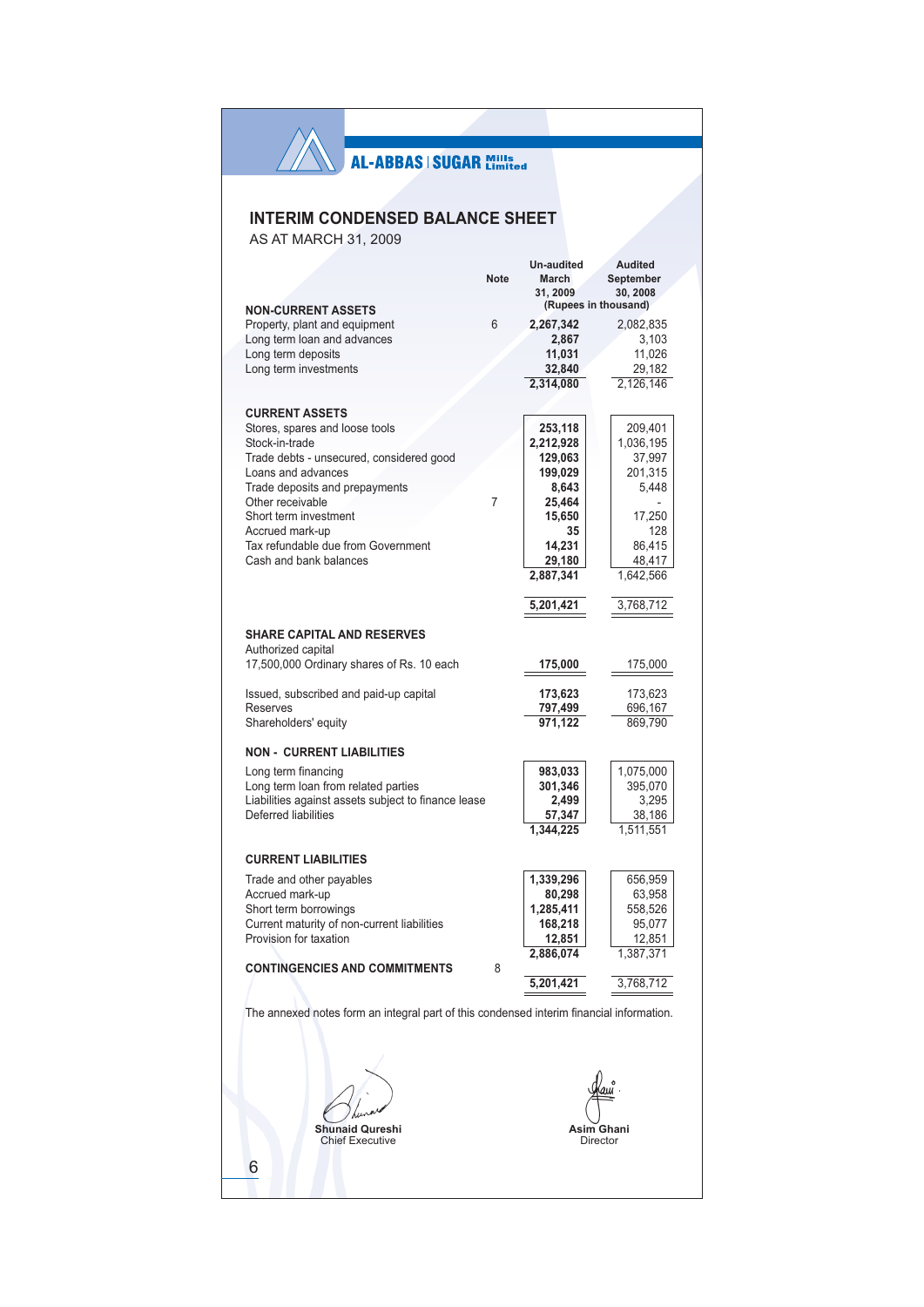## **INTERIM CONDENSED BALANCE SHEET**

AS AT MARCH 31, 2009

 $\wedge$ 

|   |                                                                                          |             | Un-audited | Audited                          |
|---|------------------------------------------------------------------------------------------|-------------|------------|----------------------------------|
|   |                                                                                          | <b>Note</b> | March      | September                        |
|   |                                                                                          |             | 31, 2009   | 30, 2008<br>(Rupees in thousand) |
|   | <b>NON-CURRENT ASSETS</b>                                                                |             |            |                                  |
|   | Property, plant and equipment                                                            | 6           | 2,267,342  | 2,082,835                        |
|   | Long term loan and advances                                                              |             | 2,867      | 3,103                            |
|   | Long term deposits                                                                       |             | 11,031     | 11,026                           |
|   | Long term investments                                                                    |             | 32,840     | 29,182                           |
|   |                                                                                          |             | 2,314,080  | 2,126,146                        |
|   |                                                                                          |             |            |                                  |
|   | <b>CURRENT ASSETS</b>                                                                    |             |            |                                  |
|   | Stores, spares and loose tools                                                           |             | 253,118    | 209,401                          |
|   | Stock-in-trade                                                                           |             | 2,212,928  | 1,036,195                        |
|   | Trade debts - unsecured, considered good                                                 |             | 129,063    | 37,997                           |
|   | Loans and advances                                                                       |             | 199,029    | 201,315                          |
|   | Trade deposits and prepayments                                                           |             | 8,643      | 5,448                            |
|   | Other receivable                                                                         | 7           | 25,464     |                                  |
|   | Short term investment                                                                    |             | 15,650     | 17,250                           |
|   |                                                                                          |             | 35         | 128                              |
|   | Accrued mark-up                                                                          |             |            |                                  |
|   | Tax refundable due from Government                                                       |             | 14,231     | 86,415                           |
|   | Cash and bank balances                                                                   |             | 29,180     | 48,417                           |
|   |                                                                                          |             | 2,887,341  | 1,642,566                        |
|   |                                                                                          |             |            |                                  |
|   |                                                                                          |             | 5,201,421  | 3,768,712                        |
|   |                                                                                          |             |            |                                  |
|   | <b>SHARE CAPITAL AND RESERVES</b>                                                        |             |            |                                  |
|   | Authorized capital                                                                       |             |            |                                  |
|   | 17,500,000 Ordinary shares of Rs. 10 each                                                |             | 175,000    | 175,000                          |
|   |                                                                                          |             |            |                                  |
|   | Issued, subscribed and paid-up capital                                                   |             | 173,623    | 173,623                          |
|   | Reserves                                                                                 |             | 797,499    | 696,167                          |
|   | Shareholders' equity                                                                     |             | 971,122    | 869,790                          |
|   |                                                                                          |             |            |                                  |
|   | <b>NON - CURRENT LIABILITIES</b>                                                         |             |            |                                  |
|   | Long term financing                                                                      |             | 983,033    | 1,075,000                        |
|   | Long term loan from related parties                                                      |             | 301,346    | 395,070                          |
|   | Liabilities against assets subject to finance lease                                      |             | 2,499      | 3,295                            |
|   | Deferred liabilities                                                                     |             | 57,347     | 38,186                           |
|   |                                                                                          |             | 1,344,225  | 1,511,551                        |
|   |                                                                                          |             |            |                                  |
|   | <b>CURRENT LIABILITIES</b>                                                               |             |            |                                  |
|   |                                                                                          |             |            |                                  |
|   | Trade and other payables                                                                 |             | 1,339,296  | 656,959                          |
|   | Accrued mark-up                                                                          |             | 80,298     | 63,958                           |
|   | Short term borrowings                                                                    |             | 1,285,411  | 558,526                          |
|   | Current maturity of non-current liabilities                                              |             | 168,218    | 95,077                           |
|   | Provision for taxation                                                                   |             | 12,851     | 12,851                           |
|   |                                                                                          |             | 2,886,074  | 1,387,371                        |
|   | <b>CONTINGENCIES AND COMMITMENTS</b>                                                     | 8           |            |                                  |
|   |                                                                                          |             | 5,201,421  | 3,768,712                        |
|   |                                                                                          |             |            |                                  |
|   | The annexed notes form an integral part of this condensed interim financial information. |             |            |                                  |
|   |                                                                                          |             |            |                                  |
|   |                                                                                          |             |            |                                  |
|   |                                                                                          |             |            |                                  |
|   |                                                                                          |             |            |                                  |
|   |                                                                                          |             |            |                                  |
|   |                                                                                          |             |            |                                  |
|   |                                                                                          |             |            |                                  |
|   | hunaid Qureshi                                                                           |             |            |                                  |
|   | <b>Chief Executive</b>                                                                   |             |            | Director                         |
|   |                                                                                          |             |            |                                  |
| 6 |                                                                                          |             |            |                                  |
|   |                                                                                          |             |            |                                  |
|   |                                                                                          |             |            |                                  |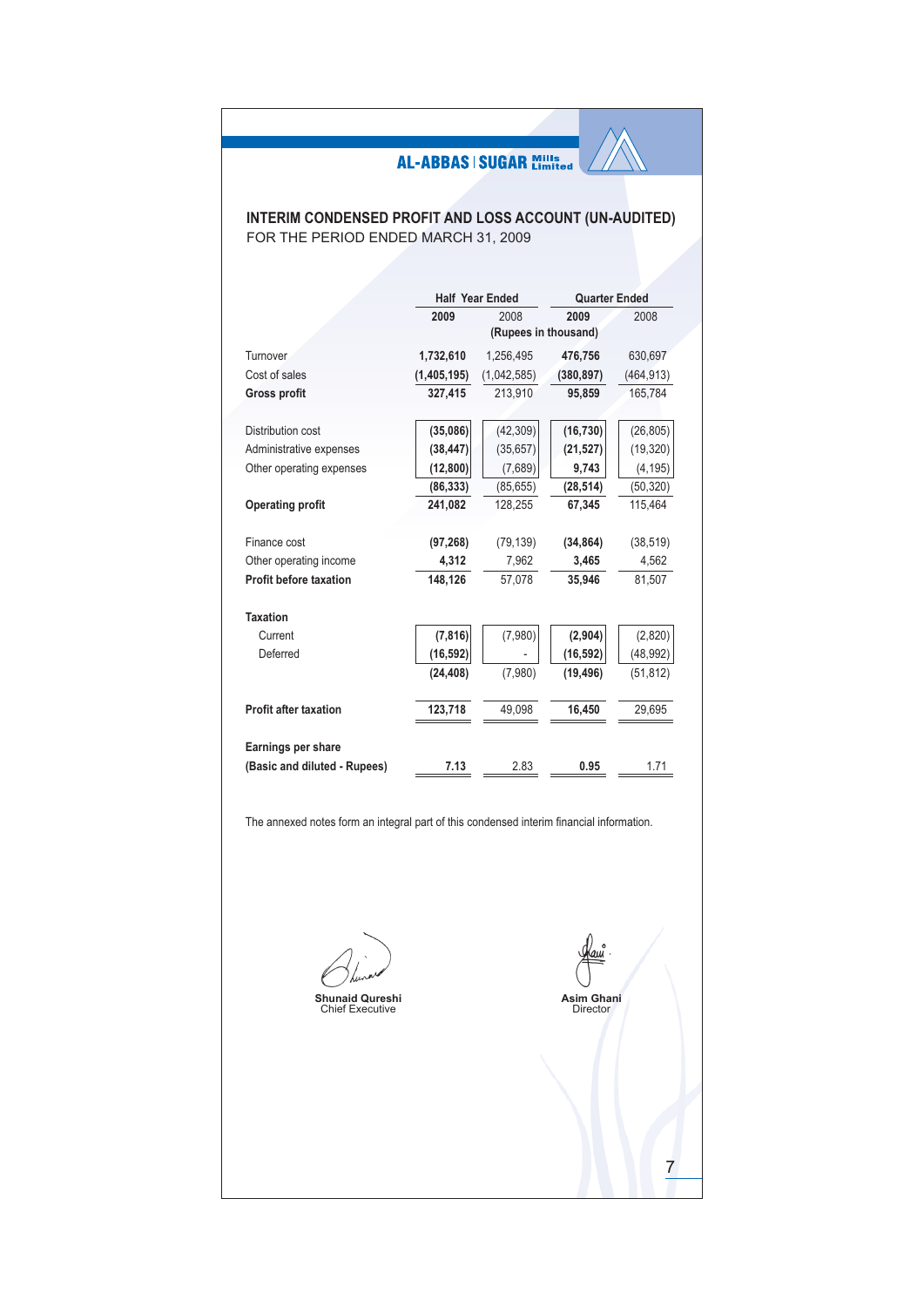### **INTERIM CONDENSED PROFIT AND LOSS ACCOUNT (UN-AUDITED)** FOR THE PERIOD ENDED MARCH 31, 2009

|                               |             | <b>Half Year Ended</b> | <b>Quarter Ended</b> |            |
|-------------------------------|-------------|------------------------|----------------------|------------|
|                               | 2009        | 2008                   | 2009                 | 2008       |
|                               |             | (Rupees in thousand)   |                      |            |
| Turnover                      | 1,732,610   | 1,256,495              | 476,756              | 630,697    |
| Cost of sales                 | (1,405,195) | (1,042,585)            | (380, 897)           | (464, 913) |
| <b>Gross profit</b>           | 327,415     | 213,910                | 95,859               | 165,784    |
| Distribution cost             | (35,086)    | (42, 309)              | (16, 730)            | (26, 805)  |
| Administrative expenses       | (38, 447)   | (35, 657)              | (21, 527)            | (19, 320)  |
| Other operating expenses      | (12, 800)   | (7,689)                | 9,743                | (4, 195)   |
|                               | (86, 333)   | (85, 655)              | (28, 514)            | (50, 320)  |
| <b>Operating profit</b>       | 241,082     | 128,255                | 67,345               | 115,464    |
| Finance cost                  | (97, 268)   | (79, 139)              | (34, 864)            | (38, 519)  |
| Other operating income        | 4.312       | 7.962                  | 3.465                | 4.562      |
| <b>Profit before taxation</b> | 148.126     | 57.078                 | 35,946               | 81.507     |
| <b>Taxation</b>               |             |                        |                      |            |
| Current                       | (7, 816)    | (7,980)                | (2,904)              | (2,820)    |
| Deferred                      | (16, 592)   |                        | (16, 592)            | (48, 992)  |
|                               | (24, 408)   | (7,980)                | (19, 496)            | (51, 812)  |
| <b>Profit after taxation</b>  | 123,718     | 49,098                 | 16,450               | 29,695     |
| Earnings per share            |             |                        |                      |            |
| (Basic and diluted - Rupees)  | 7.13        | 2.83                   | 0.95                 | 1.71       |
|                               |             |                        |                      |            |

The annexed notes form an integral part of this condensed interim financial information.

**Shunaid Qureshi**<br>Chief Executive

Asim Ghani<br>Director

 $\overline{7}$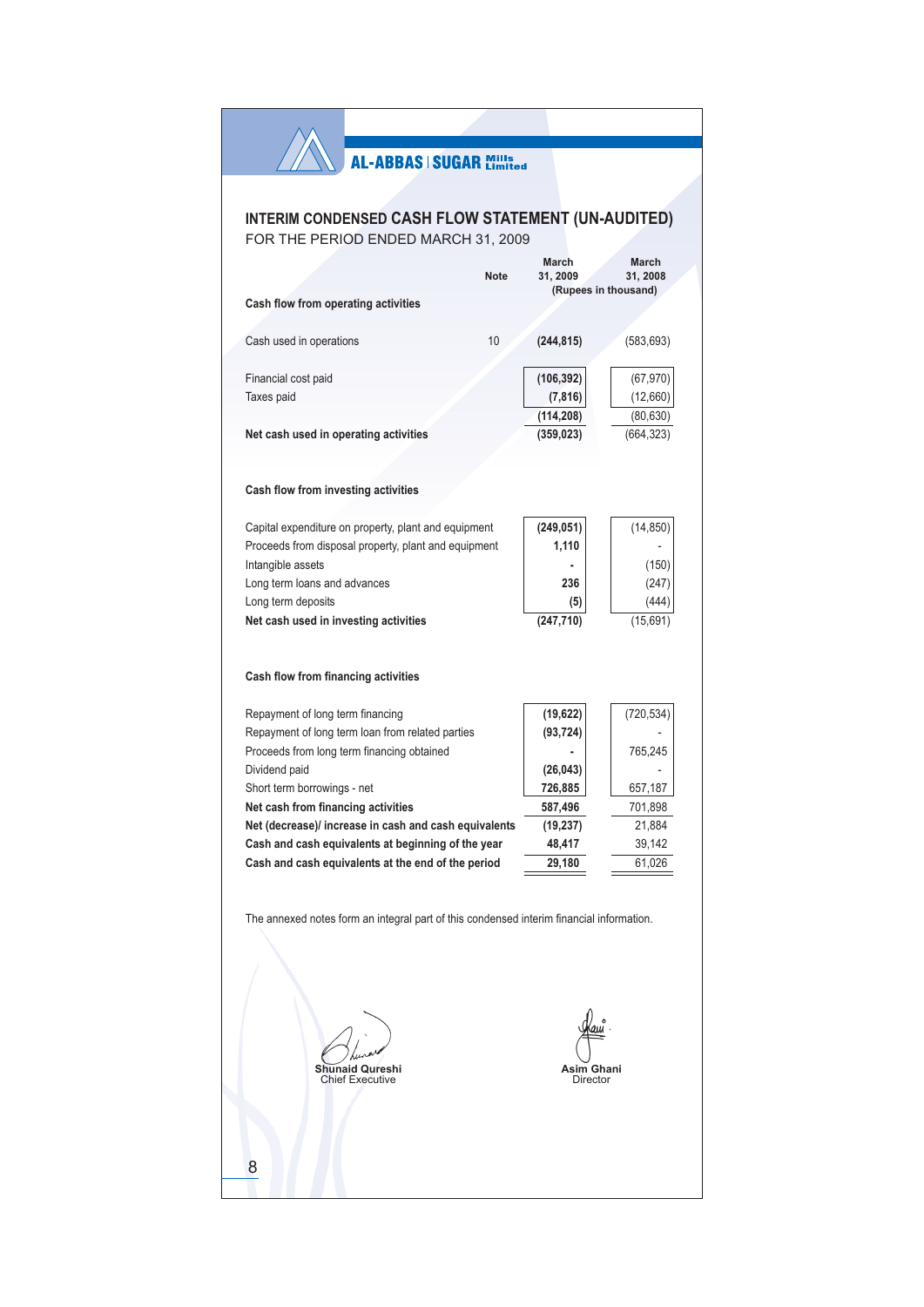|                                                                                                                                                                                                                                                                                                                                                                                                                                                                                                                                                                                                                                                                                                                                                                                                                                                                                                                                                                                                                                                                                                                                                                                                                                                                                                                                   |             |            | March      |
|-----------------------------------------------------------------------------------------------------------------------------------------------------------------------------------------------------------------------------------------------------------------------------------------------------------------------------------------------------------------------------------------------------------------------------------------------------------------------------------------------------------------------------------------------------------------------------------------------------------------------------------------------------------------------------------------------------------------------------------------------------------------------------------------------------------------------------------------------------------------------------------------------------------------------------------------------------------------------------------------------------------------------------------------------------------------------------------------------------------------------------------------------------------------------------------------------------------------------------------------------------------------------------------------------------------------------------------|-------------|------------|------------|
|                                                                                                                                                                                                                                                                                                                                                                                                                                                                                                                                                                                                                                                                                                                                                                                                                                                                                                                                                                                                                                                                                                                                                                                                                                                                                                                                   | <b>Note</b> | 31, 2009   | 31, 2008   |
|                                                                                                                                                                                                                                                                                                                                                                                                                                                                                                                                                                                                                                                                                                                                                                                                                                                                                                                                                                                                                                                                                                                                                                                                                                                                                                                                   |             |            |            |
|                                                                                                                                                                                                                                                                                                                                                                                                                                                                                                                                                                                                                                                                                                                                                                                                                                                                                                                                                                                                                                                                                                                                                                                                                                                                                                                                   |             |            |            |
|                                                                                                                                                                                                                                                                                                                                                                                                                                                                                                                                                                                                                                                                                                                                                                                                                                                                                                                                                                                                                                                                                                                                                                                                                                                                                                                                   | 10          |            | (583, 693) |
|                                                                                                                                                                                                                                                                                                                                                                                                                                                                                                                                                                                                                                                                                                                                                                                                                                                                                                                                                                                                                                                                                                                                                                                                                                                                                                                                   |             |            |            |
| Financial cost paid                                                                                                                                                                                                                                                                                                                                                                                                                                                                                                                                                                                                                                                                                                                                                                                                                                                                                                                                                                                                                                                                                                                                                                                                                                                                                                               |             | (106, 392) | (67, 970)  |
| Taxes paid                                                                                                                                                                                                                                                                                                                                                                                                                                                                                                                                                                                                                                                                                                                                                                                                                                                                                                                                                                                                                                                                                                                                                                                                                                                                                                                        |             | (7, 816)   | (12,660)   |
|                                                                                                                                                                                                                                                                                                                                                                                                                                                                                                                                                                                                                                                                                                                                                                                                                                                                                                                                                                                                                                                                                                                                                                                                                                                                                                                                   |             | (114, 208) | (80, 630)  |
| Net cash used in operating activities                                                                                                                                                                                                                                                                                                                                                                                                                                                                                                                                                                                                                                                                                                                                                                                                                                                                                                                                                                                                                                                                                                                                                                                                                                                                                             |             | (359, 023) | (664, 323) |
|                                                                                                                                                                                                                                                                                                                                                                                                                                                                                                                                                                                                                                                                                                                                                                                                                                                                                                                                                                                                                                                                                                                                                                                                                                                                                                                                   |             |            |            |
|                                                                                                                                                                                                                                                                                                                                                                                                                                                                                                                                                                                                                                                                                                                                                                                                                                                                                                                                                                                                                                                                                                                                                                                                                                                                                                                                   |             |            |            |
|                                                                                                                                                                                                                                                                                                                                                                                                                                                                                                                                                                                                                                                                                                                                                                                                                                                                                                                                                                                                                                                                                                                                                                                                                                                                                                                                   |             |            |            |
|                                                                                                                                                                                                                                                                                                                                                                                                                                                                                                                                                                                                                                                                                                                                                                                                                                                                                                                                                                                                                                                                                                                                                                                                                                                                                                                                   |             |            |            |
|                                                                                                                                                                                                                                                                                                                                                                                                                                                                                                                                                                                                                                                                                                                                                                                                                                                                                                                                                                                                                                                                                                                                                                                                                                                                                                                                   |             |            |            |
|                                                                                                                                                                                                                                                                                                                                                                                                                                                                                                                                                                                                                                                                                                                                                                                                                                                                                                                                                                                                                                                                                                                                                                                                                                                                                                                                   |             |            | (150)      |
| <b>AL-ABBAS   SUGAR Mills</b><br>INTERIM CONDENSED CASH FLOW STATEMENT (UN-AUDITED)<br>FOR THE PERIOD ENDED MARCH 31, 2009<br><b>March</b><br>(Rupees in thousand)<br>Cash flow from operating activities<br>Cash used in operations<br>(244, 815)<br>Cash flow from investing activities<br>(249, 051)<br>Capital expenditure on property, plant and equipment<br>(14, 850)<br>Proceeds from disposal property, plant and equipment<br>1,110<br>Intangible assets<br>236<br>Long term loans and advances<br>Long term deposits<br>(5)<br>(247, 710)<br>Net cash used in investing activities<br>Cash flow from financing activities<br>Repayment of long term financing<br>(19, 622)<br>Repayment of long term loan from related parties<br>(93, 724)<br>Proceeds from long term financing obtained<br>765,245<br>Dividend paid<br>(26, 043)<br>726,885<br>Short term borrowings - net<br>657,187<br>Net cash from financing activities<br>587,496<br>(19, 237)<br>Net (decrease)/ increase in cash and cash equivalents<br>Cash and cash equivalents at beginning of the year<br>48,417<br>Cash and cash equivalents at the end of the period<br>29,180<br>The annexed notes form an integral part of this condensed interim financial information.<br>Asim Ghani<br>Shunaid Qureshi<br><b>Chief Executive</b><br>Director<br>8 |             | (247)      |            |
|                                                                                                                                                                                                                                                                                                                                                                                                                                                                                                                                                                                                                                                                                                                                                                                                                                                                                                                                                                                                                                                                                                                                                                                                                                                                                                                                   |             |            | (444)      |
|                                                                                                                                                                                                                                                                                                                                                                                                                                                                                                                                                                                                                                                                                                                                                                                                                                                                                                                                                                                                                                                                                                                                                                                                                                                                                                                                   |             |            | (15,691)   |
|                                                                                                                                                                                                                                                                                                                                                                                                                                                                                                                                                                                                                                                                                                                                                                                                                                                                                                                                                                                                                                                                                                                                                                                                                                                                                                                                   |             |            |            |
|                                                                                                                                                                                                                                                                                                                                                                                                                                                                                                                                                                                                                                                                                                                                                                                                                                                                                                                                                                                                                                                                                                                                                                                                                                                                                                                                   |             |            |            |
|                                                                                                                                                                                                                                                                                                                                                                                                                                                                                                                                                                                                                                                                                                                                                                                                                                                                                                                                                                                                                                                                                                                                                                                                                                                                                                                                   |             |            |            |
|                                                                                                                                                                                                                                                                                                                                                                                                                                                                                                                                                                                                                                                                                                                                                                                                                                                                                                                                                                                                                                                                                                                                                                                                                                                                                                                                   |             |            |            |
|                                                                                                                                                                                                                                                                                                                                                                                                                                                                                                                                                                                                                                                                                                                                                                                                                                                                                                                                                                                                                                                                                                                                                                                                                                                                                                                                   |             |            | (720, 534) |
|                                                                                                                                                                                                                                                                                                                                                                                                                                                                                                                                                                                                                                                                                                                                                                                                                                                                                                                                                                                                                                                                                                                                                                                                                                                                                                                                   |             |            |            |
|                                                                                                                                                                                                                                                                                                                                                                                                                                                                                                                                                                                                                                                                                                                                                                                                                                                                                                                                                                                                                                                                                                                                                                                                                                                                                                                                   |             |            |            |
|                                                                                                                                                                                                                                                                                                                                                                                                                                                                                                                                                                                                                                                                                                                                                                                                                                                                                                                                                                                                                                                                                                                                                                                                                                                                                                                                   |             |            |            |
|                                                                                                                                                                                                                                                                                                                                                                                                                                                                                                                                                                                                                                                                                                                                                                                                                                                                                                                                                                                                                                                                                                                                                                                                                                                                                                                                   |             |            | 701,898    |
|                                                                                                                                                                                                                                                                                                                                                                                                                                                                                                                                                                                                                                                                                                                                                                                                                                                                                                                                                                                                                                                                                                                                                                                                                                                                                                                                   |             |            | 21,884     |
|                                                                                                                                                                                                                                                                                                                                                                                                                                                                                                                                                                                                                                                                                                                                                                                                                                                                                                                                                                                                                                                                                                                                                                                                                                                                                                                                   |             |            | 39,142     |
|                                                                                                                                                                                                                                                                                                                                                                                                                                                                                                                                                                                                                                                                                                                                                                                                                                                                                                                                                                                                                                                                                                                                                                                                                                                                                                                                   |             |            | 61,026     |
|                                                                                                                                                                                                                                                                                                                                                                                                                                                                                                                                                                                                                                                                                                                                                                                                                                                                                                                                                                                                                                                                                                                                                                                                                                                                                                                                   |             |            |            |
|                                                                                                                                                                                                                                                                                                                                                                                                                                                                                                                                                                                                                                                                                                                                                                                                                                                                                                                                                                                                                                                                                                                                                                                                                                                                                                                                   |             |            |            |
|                                                                                                                                                                                                                                                                                                                                                                                                                                                                                                                                                                                                                                                                                                                                                                                                                                                                                                                                                                                                                                                                                                                                                                                                                                                                                                                                   |             |            |            |
|                                                                                                                                                                                                                                                                                                                                                                                                                                                                                                                                                                                                                                                                                                                                                                                                                                                                                                                                                                                                                                                                                                                                                                                                                                                                                                                                   |             |            |            |
|                                                                                                                                                                                                                                                                                                                                                                                                                                                                                                                                                                                                                                                                                                                                                                                                                                                                                                                                                                                                                                                                                                                                                                                                                                                                                                                                   |             |            |            |
|                                                                                                                                                                                                                                                                                                                                                                                                                                                                                                                                                                                                                                                                                                                                                                                                                                                                                                                                                                                                                                                                                                                                                                                                                                                                                                                                   |             |            |            |
|                                                                                                                                                                                                                                                                                                                                                                                                                                                                                                                                                                                                                                                                                                                                                                                                                                                                                                                                                                                                                                                                                                                                                                                                                                                                                                                                   |             |            |            |
|                                                                                                                                                                                                                                                                                                                                                                                                                                                                                                                                                                                                                                                                                                                                                                                                                                                                                                                                                                                                                                                                                                                                                                                                                                                                                                                                   |             |            |            |
|                                                                                                                                                                                                                                                                                                                                                                                                                                                                                                                                                                                                                                                                                                                                                                                                                                                                                                                                                                                                                                                                                                                                                                                                                                                                                                                                   |             |            |            |
|                                                                                                                                                                                                                                                                                                                                                                                                                                                                                                                                                                                                                                                                                                                                                                                                                                                                                                                                                                                                                                                                                                                                                                                                                                                                                                                                   |             |            |            |
|                                                                                                                                                                                                                                                                                                                                                                                                                                                                                                                                                                                                                                                                                                                                                                                                                                                                                                                                                                                                                                                                                                                                                                                                                                                                                                                                   |             |            |            |
|                                                                                                                                                                                                                                                                                                                                                                                                                                                                                                                                                                                                                                                                                                                                                                                                                                                                                                                                                                                                                                                                                                                                                                                                                                                                                                                                   |             |            |            |
|                                                                                                                                                                                                                                                                                                                                                                                                                                                                                                                                                                                                                                                                                                                                                                                                                                                                                                                                                                                                                                                                                                                                                                                                                                                                                                                                   |             |            |            |
|                                                                                                                                                                                                                                                                                                                                                                                                                                                                                                                                                                                                                                                                                                                                                                                                                                                                                                                                                                                                                                                                                                                                                                                                                                                                                                                                   |             |            |            |
|                                                                                                                                                                                                                                                                                                                                                                                                                                                                                                                                                                                                                                                                                                                                                                                                                                                                                                                                                                                                                                                                                                                                                                                                                                                                                                                                   |             |            |            |
|                                                                                                                                                                                                                                                                                                                                                                                                                                                                                                                                                                                                                                                                                                                                                                                                                                                                                                                                                                                                                                                                                                                                                                                                                                                                                                                                   |             |            |            |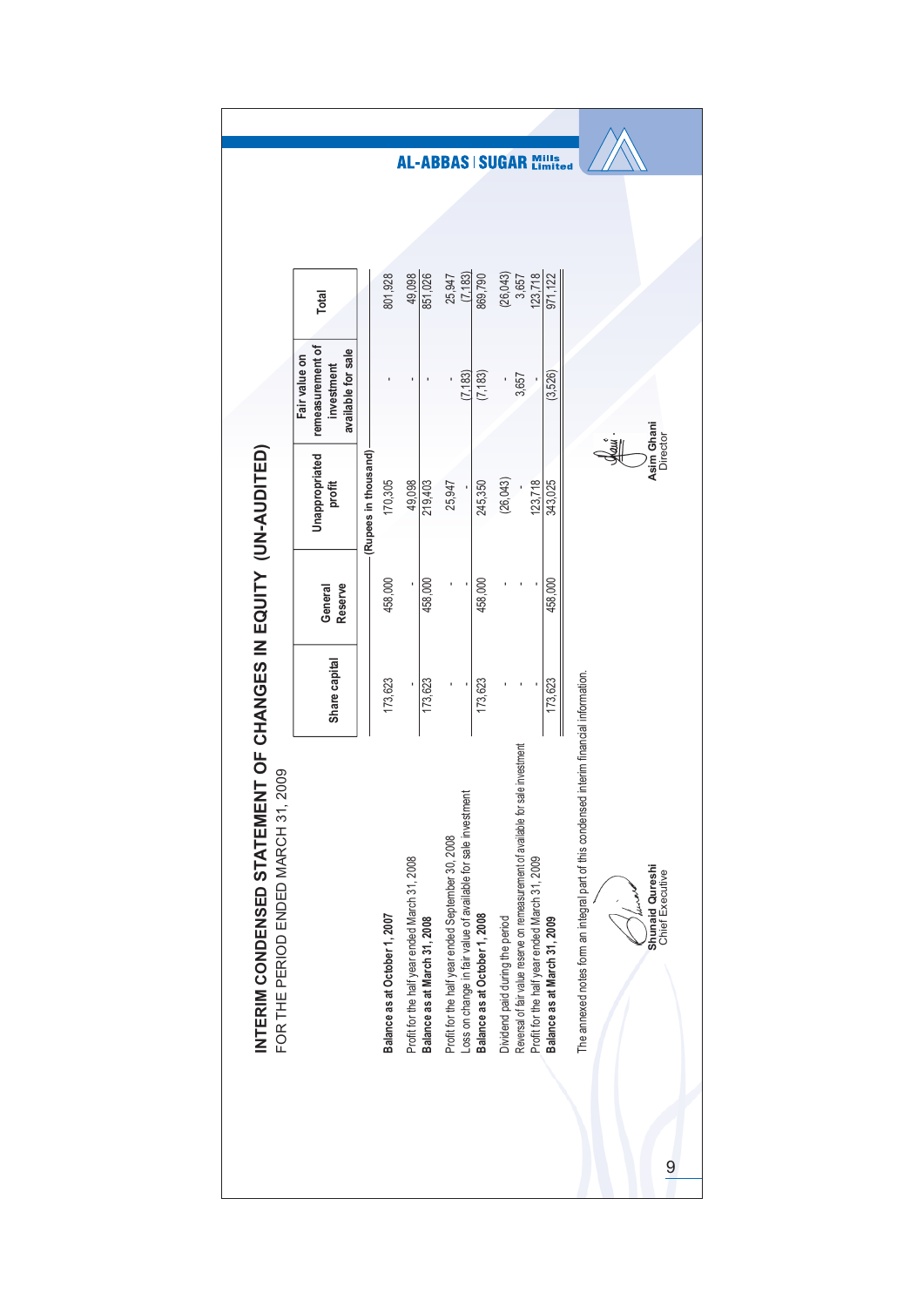| remeasurement of<br>available for sale<br>Fair value on<br>investment<br>(7, 183)<br>(7, 183)<br>(3,526)<br>3,657<br>Asim Ghani<br>Director<br><u>en</u><br>(Rupees in thousand)<br>Unappropriated<br>(26, 043)<br>170,305<br>123,718<br>profit<br>49,098<br>219,403<br>25,947<br>245,350<br>343,025<br>458,000<br>458,000<br>458,000<br>458,000<br>Reserve<br>General<br>Share capital<br>The annexed notes form an integral part of this condensed interim financial information.<br>173,623<br>173,623<br>173,623<br>173,623<br>Reversal of fair value reserve on remeasurement of available for sale investment<br>Loss on change in fair value of available for sale investment<br>Profit for the half year ended September 30, 2008<br>Profit for the half year ended March 31, 2008<br>Profit for the half year ended March 31, 2009<br><b>Shunaid Qureshi</b><br>Chief Executive<br>العمليلاء<br>Balance as at October 1, 2008<br>Balance as at October 1, 2007<br>Balance as at March 31, 2008<br>Balance as at March 31, 2009<br>Dividend paid during the period |
|----------------------------------------------------------------------------------------------------------------------------------------------------------------------------------------------------------------------------------------------------------------------------------------------------------------------------------------------------------------------------------------------------------------------------------------------------------------------------------------------------------------------------------------------------------------------------------------------------------------------------------------------------------------------------------------------------------------------------------------------------------------------------------------------------------------------------------------------------------------------------------------------------------------------------------------------------------------------------------------------------------------------------------------------------------------------------|
|                                                                                                                                                                                                                                                                                                                                                                                                                                                                                                                                                                                                                                                                                                                                                                                                                                                                                                                                                                                                                                                                            |
|                                                                                                                                                                                                                                                                                                                                                                                                                                                                                                                                                                                                                                                                                                                                                                                                                                                                                                                                                                                                                                                                            |
|                                                                                                                                                                                                                                                                                                                                                                                                                                                                                                                                                                                                                                                                                                                                                                                                                                                                                                                                                                                                                                                                            |
|                                                                                                                                                                                                                                                                                                                                                                                                                                                                                                                                                                                                                                                                                                                                                                                                                                                                                                                                                                                                                                                                            |
|                                                                                                                                                                                                                                                                                                                                                                                                                                                                                                                                                                                                                                                                                                                                                                                                                                                                                                                                                                                                                                                                            |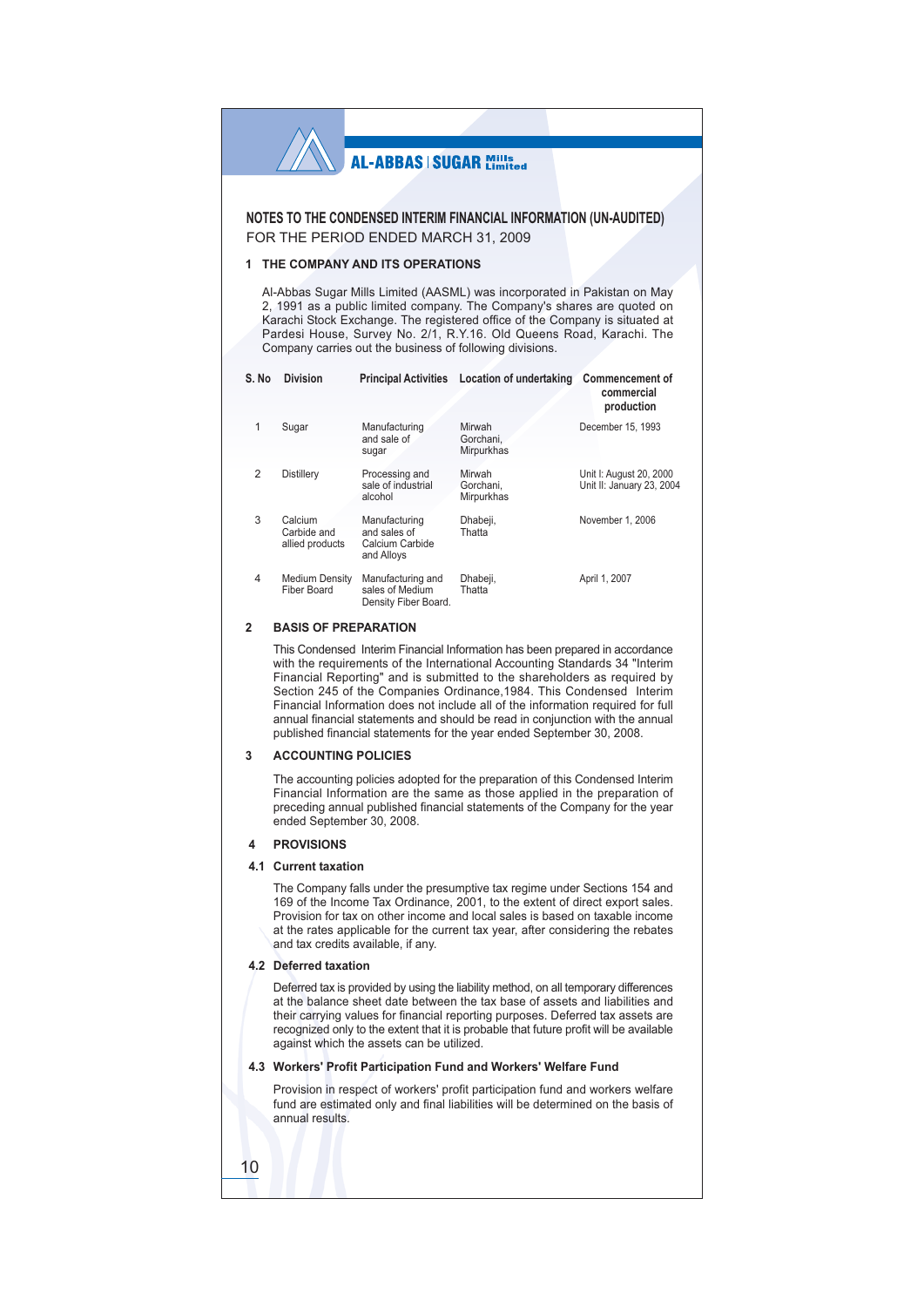NOTES TO THE CONDENSED INTERIM FINANCIAL INFORMATION (UN-AUDITED) FOR THE PERIOD ENDED MARCH 31, 2009

#### 1 THE COMPANY AND ITS OPERATIONS

Al-Abbas Sugar Mills Limited (AASML) was incorporated in Pakistan on May 2, 1991 as a public limited company. The Company's shares are quoted on Karachi Stock Exchange. The registered office of the Company is situated at Pardesi House, Survey No. 2/1, R.Y.16. Old Queens Road, Karachi. The Company carries out the business of following divisions.

| S. No          | <b>Division</b>                           | <b>Principal Activities</b>                                    | Location of undertaking           | <b>Commencement of</b><br>commercial<br>production   |
|----------------|-------------------------------------------|----------------------------------------------------------------|-----------------------------------|------------------------------------------------------|
| 1              | Sugar                                     | Manufacturing<br>and sale of<br>sugar                          | Mirwah<br>Gorchani,<br>Mirpurkhas | December 15, 1993                                    |
| $\overline{2}$ | <b>Distillerv</b>                         | Processing and<br>sale of industrial<br>alcohol                | Mirwah<br>Gorchani.<br>Mirpurkhas | Unit I: August 20, 2000<br>Unit II: January 23, 2004 |
| 3              | Calcium<br>Carbide and<br>allied products | Manufacturing<br>and sales of<br>Calcium Carbide<br>and Alloys | Dhabeji,<br>Thatta                | November 1, 2006                                     |
| $\overline{4}$ | <b>Medium Density</b><br>Fiber Board      | Manufacturing and<br>sales of Medium<br>Density Fiber Board.   | Dhabeji,<br>Thatta                | April 1, 2007                                        |

#### $\mathfrak{p}$ **BASIS OF PREPARATION**

This Condensed Interim Financial Information has been prepared in accordance with the requirements of the International Accounting Standards 34 "Interim Financial Reporting" and is submitted to the shareholders as required by Section 245 of the Companies Ordinance, 1984. This Condensed Interim Financial Information does not include all of the information required for full annual financial statements and should be read in conjunction with the annual published financial statements for the year ended September 30, 2008.

#### **ACCOUNTING POLICIES**  $\mathbf{R}$

The accounting policies adopted for the preparation of this Condensed Interim Financial Information are the same as those applied in the preparation of preceding annual published financial statements of the Company for the year ended September 30, 2008.

#### 4 PROVISIONS

#### 4.1 Current taxation

The Company falls under the presumptive tax regime under Sections 154 and 169 of the Income Tax Ordinance, 2001, to the extent of direct export sales. Provision for tax on other income and local sales is based on taxable income at the rates applicable for the current tax year, after considering the rebates and tax credits available, if any.

#### 4.2 Deferred taxation

Deferred tax is provided by using the liability method, on all temporary differences at the balance sheet date between the tax base of assets and liabilities and their carrying values for financial reporting purposes. Deferred tax assets are recognized only to the extent that it is probable that future profit will be available against which the assets can be utilized.

#### 4.3 Workers' Profit Participation Fund and Workers' Welfare Fund

Provision in respect of workers' profit participation fund and workers welfare fund are estimated only and final liabilities will be determined on the basis of annual results

10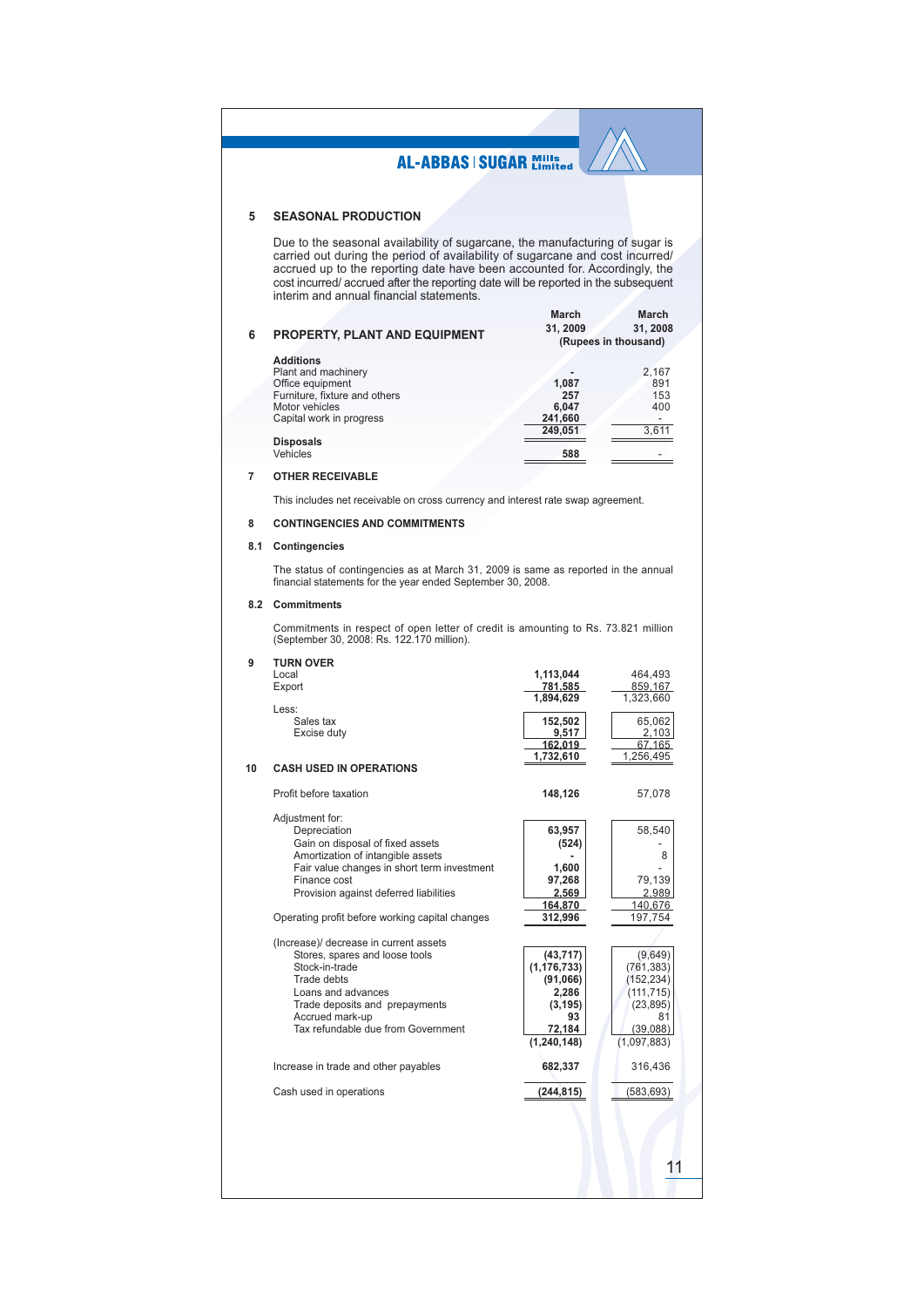#### **SEASONAL PRODUCTION** 5

Due to the seasonal availability of sugarcane, the manufacturing of sugar is carried out during the period of availability of sugarcane and cost incurred/ accrued up to the reporting date have been accounted for. According cost incurred/ accrued after the reporting date will be reported in the subsequent interim and annual financial statements.

| 6 | <b>PROPERTY, PLANT AND EQUIPMENT</b> | March<br>31, 2009<br>(Rupees in thousand) | March<br>31, 2008 |
|---|--------------------------------------|-------------------------------------------|-------------------|
|   | <b>Additions</b>                     |                                           |                   |
|   | Plant and machinery                  |                                           | 2,167             |
|   | Office equipment                     | 1,087                                     | 891               |
|   | Furniture, fixture and others        | 257                                       | 153               |
|   | Motor vehicles                       | 6,047                                     | 400               |
|   | Capital work in progress             | 241,660                                   |                   |
|   |                                      | 249.051                                   | 3.611             |
|   | <b>Disposals</b>                     |                                           |                   |
|   | Vehicles                             | 588                                       |                   |

#### **OTHER RECEIVABLE**  $\overline{7}$

This includes net receivable on cross currency and interest rate swap agreement.

#### $\bf 8$ **CONTINGENCIES AND COMMITMENTS**

#### 8.1 Contingencies

The status of contingencies as at March 31, 2009 is same as reported in the annual financial statements for the year ended September 30, 2008.

#### 8.2 Commitments

Commitments in respect of open letter of credit is amounting to Rs. 73.821 million (September 30, 2008: Rs. 122.170 million).

| 9  | <b>TURN OVER</b>                                |                  |                 |
|----|-------------------------------------------------|------------------|-----------------|
|    | Local                                           | 1,113,044        | 464,493         |
|    | Export                                          | 781,585          | 859,167         |
|    |                                                 | 1,894,629        | 1,323,660       |
|    | Less:                                           |                  |                 |
|    | Sales tax                                       | 152,502<br>9,517 | 65,062          |
|    | Excise duty                                     | 162,019          | 2,103<br>67,165 |
|    |                                                 | 1,732,610        | 1,256,495       |
| 10 | <b>CASH USED IN OPERATIONS</b>                  |                  |                 |
|    | Profit before taxation                          | 148,126          | 57,078          |
|    | Adjustment for:                                 |                  |                 |
|    | Depreciation                                    | 63,957           | 58,540          |
|    | Gain on disposal of fixed assets                | (524)            |                 |
|    | Amortization of intangible assets               |                  | 8               |
|    | Fair value changes in short term investment     | 1,600            |                 |
|    | Finance cost                                    | 97,268           | 79,139          |
|    | Provision against deferred liabilities          | 2,569            | 2,989           |
|    |                                                 | 164,870          | 140,676         |
|    | Operating profit before working capital changes | 312,996          | 197,754         |
|    | (Increase)/ decrease in current assets          |                  |                 |
|    | Stores, spares and loose tools                  | (43, 717)        | (9,649)         |
|    | Stock-in-trade                                  | (1, 176, 733)    | (761, 383)      |
|    | Trade debts                                     | (91,066)         | (152, 234)      |
|    | Loans and advances                              | 2,286            | (111, 715)      |
|    | Trade deposits and prepayments                  | (3, 195)         | (23, 895)       |
|    | Accrued mark-up                                 | 93               | 81              |
|    | Tax refundable due from Government              | 72.184           | (39,088)        |
|    |                                                 | (1, 240, 148)    | (1,097,883)     |
|    | Increase in trade and other payables            | 682,337          | 316,436         |
|    | Cash used in operations                         | (244, 815)       | (583, 693)      |
|    |                                                 |                  |                 |
|    |                                                 |                  |                 |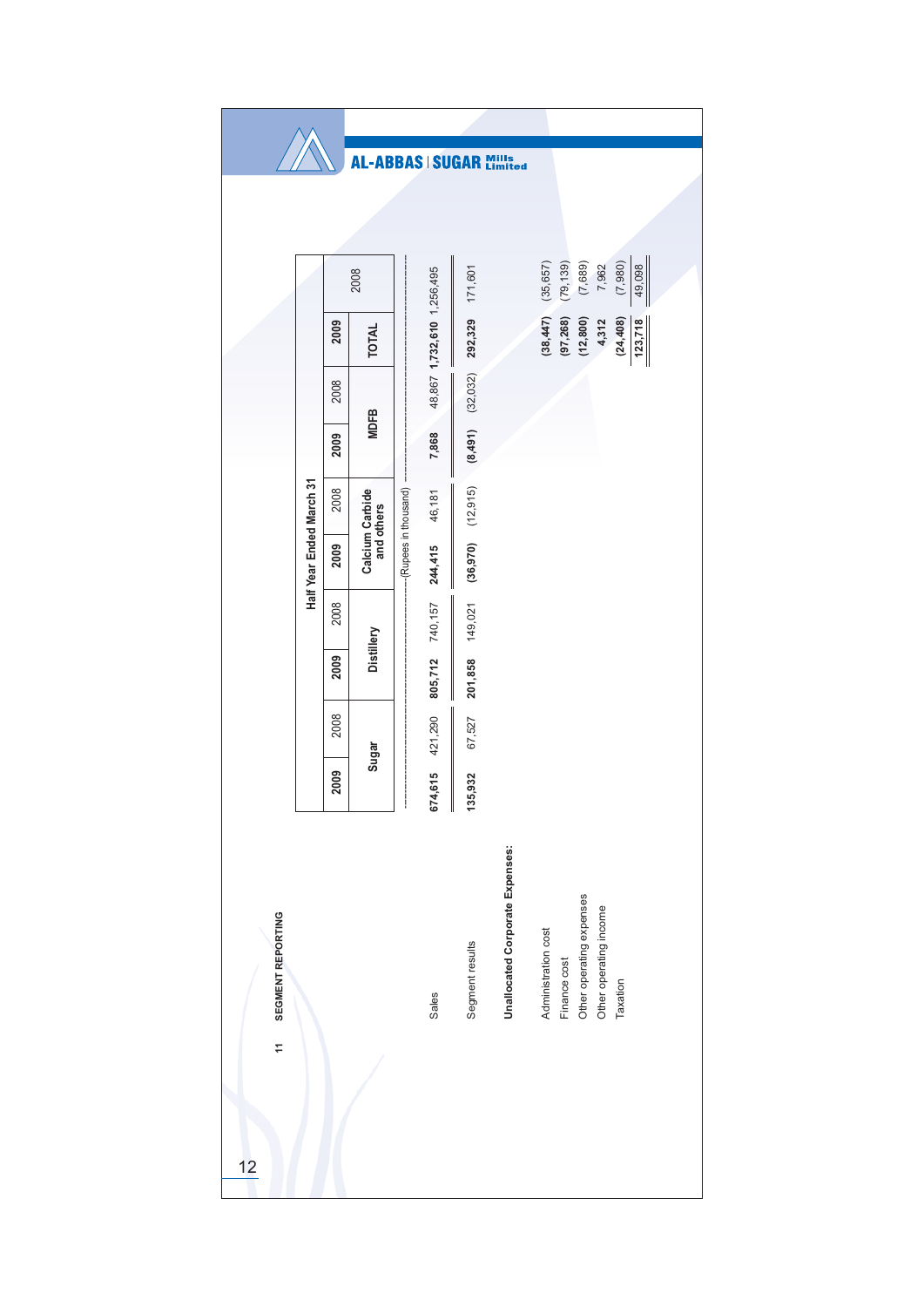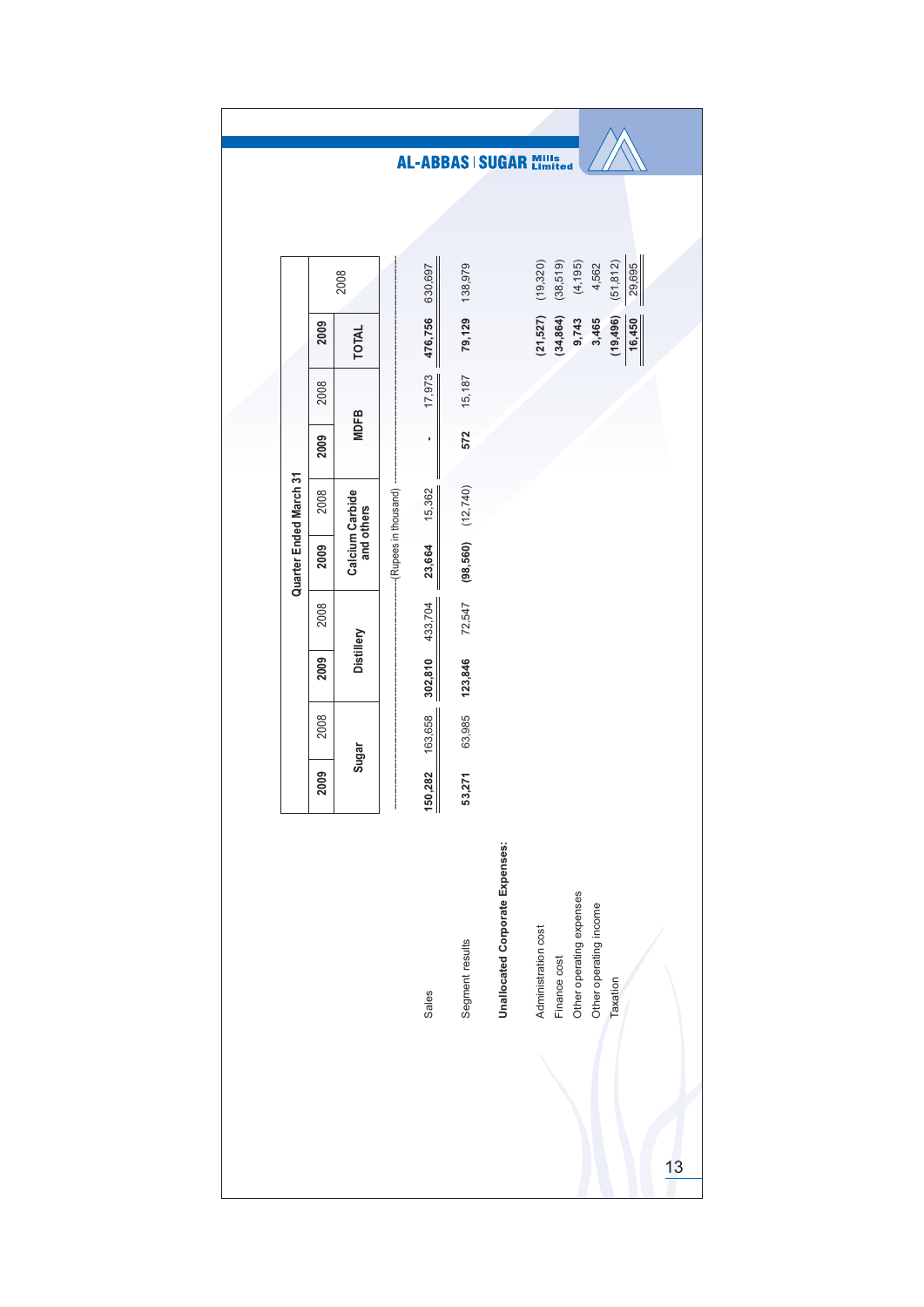|                        |      |                               |                            |         |                       | <b>AL-ABBAS   SUGAR Mills</b>   |                     |              |                          |                        |           |        |    |
|------------------------|------|-------------------------------|----------------------------|---------|-----------------------|---------------------------------|---------------------|--------------|--------------------------|------------------------|-----------|--------|----|
|                        |      |                               |                            |         |                       |                                 |                     |              |                          |                        |           |        |    |
|                        |      | 2008                          |                            | 630,697 | 138,979               |                                 | (19, 320)           | (38, 519)    | (4, 195)                 | 4,562                  | (51, 812) | 29,695 |    |
|                        | 2009 | <b>TOTAL</b>                  |                            | 476,756 | 79,129                |                                 | (21, 527)           | (34, 864)    | 9,743                    | 3,465                  | (19, 496) | 16,450 |    |
|                        | 2008 |                               |                            | 17,973  | 15,187                |                                 |                     |              |                          |                        |           |        |    |
|                        | 2009 | <b>MDFB</b>                   |                            | ı,      | 572                   |                                 |                     |              |                          |                        |           |        |    |
|                        | 2008 |                               |                            | 15,362  |                       |                                 |                     |              |                          |                        |           |        |    |
| Quarter Ended March 31 | 2009 | Calcium Carbide<br>and others | ---(Rupees in thousand) -- | 23,664  | $(98,560)$ $(12,740)$ |                                 |                     |              |                          |                        |           |        |    |
|                        | 2008 |                               |                            | 433,704 | 72,547                |                                 |                     |              |                          |                        |           |        |    |
|                        | 2009 | Distillery                    |                            | 302,810 | 123,846               |                                 |                     |              |                          |                        |           |        |    |
|                        | 2008 |                               |                            | 163,658 | 63,985                |                                 |                     |              |                          |                        |           |        |    |
|                        | 2009 | Sugar                         | I                          | 150,282 | 53,271                |                                 |                     |              |                          |                        |           |        |    |
|                        |      |                               |                            | Sales   | Segment results       | Unallocated Corporate Expenses: | Administration cost | Finance cost | Other operating expenses | Other operating income | Taxation  |        |    |
|                        |      |                               |                            |         |                       |                                 |                     |              |                          |                        |           |        | 13 |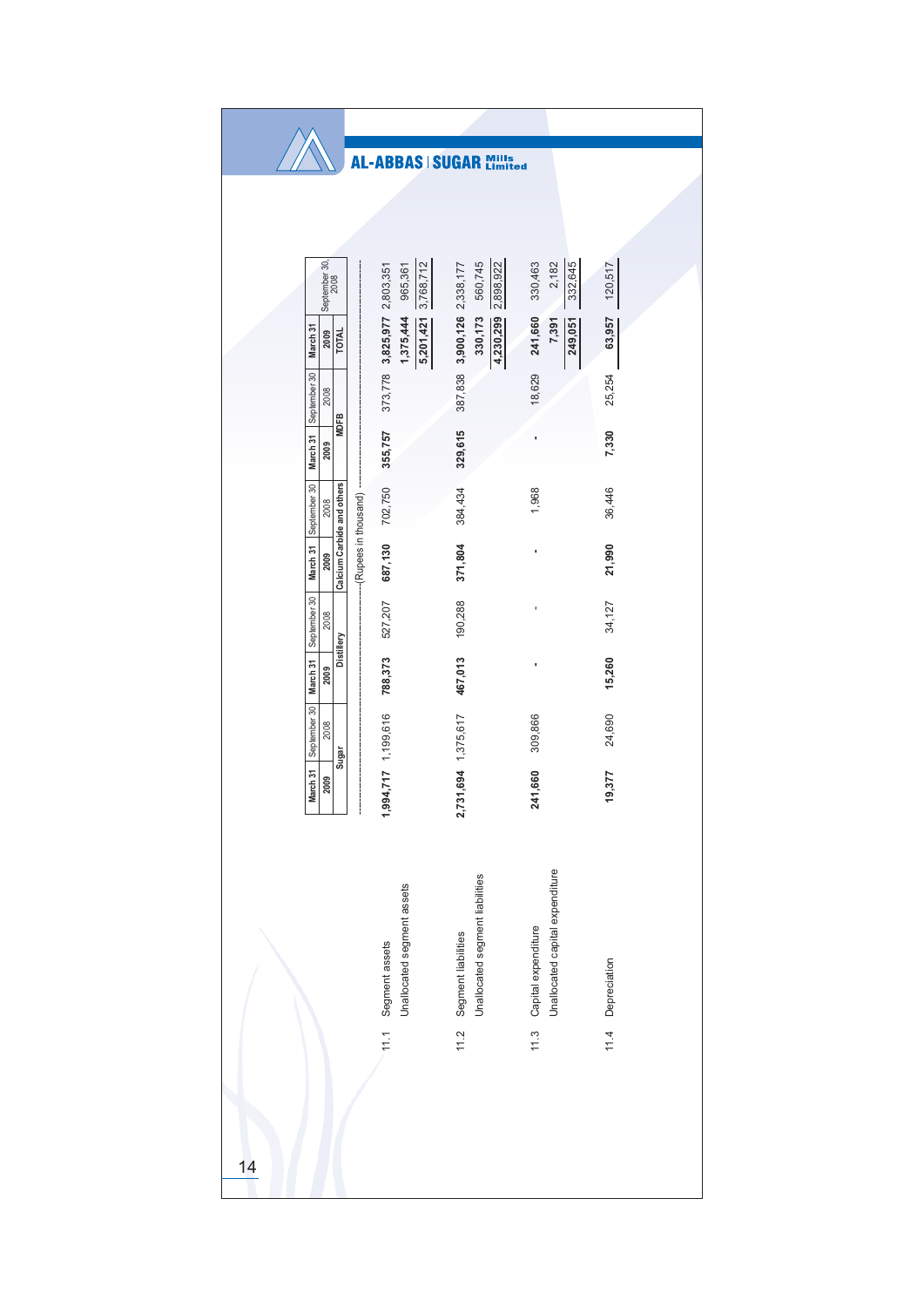